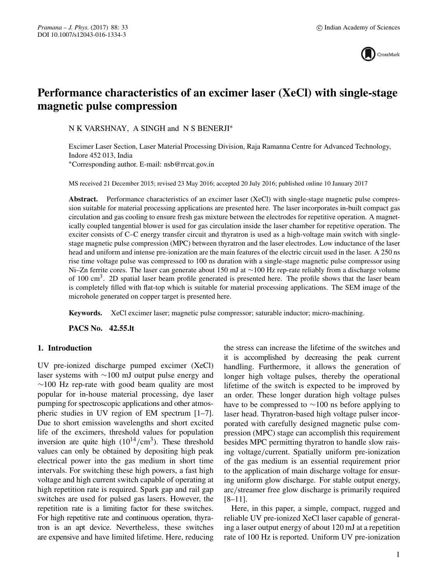

# **Performance characteristics of an excimer laser (XeCl) with single-stage magnetic pulse compression**

N K VARSHNAY, A SINGH and N S BENERJI∗

Excimer Laser Section, Laser Material Processing Division, Raja Ramanna Centre for Advanced Technology, Indore 452 013, India ∗Corresponding author. E-mail: nsb@rrcat.gov.in

MS received 21 December 2015; revised 23 May 2016; accepted 20 July 2016; published online 10 January 2017

**Abstract.** Performance characteristics of an excimer laser (XeCl) with single-stage magnetic pulse compression suitable for material processing applications are presented here. The laser incorporates in-built compact gas circulation and gas cooling to ensure fresh gas mixture between the electrodes for repetitive operation. A magnetically coupled tangential blower is used for gas circulation inside the laser chamber for repetitive operation. The exciter consists of C–C energy transfer circuit and thyratron is used as a high-voltage main switch with singlestage magnetic pulse compression (MPC) between thyratron and the laser electrodes. Low inductance of the laser head and uniform and intense pre-ionization are the main features of the electric circuit used in the laser. A 250 ns rise time voltage pulse was compressed to 100 ns duration with a single-stage magnetic pulse compressor using Ni–Zn ferrite cores. The laser can generate about 150 mJ at ∼100 Hz rep-rate reliably from a discharge volume of 100 cm<sup>3</sup>. 2D spatial laser beam profile generated is presented here. The profile shows that the laser beam is completely filled with flat-top which is suitable for material processing applications. The SEM image of the microhole generated on copper target is presented here.

**Keywords.** XeCl excimer laser; magnetic pulse compressor; saturable inductor; micro-machining.

**PACS No. 42.55.lt**

## **1. Introduction**

UV pre-ionized discharge pumped excimer (XeCl) laser systems with ∼100 mJ output pulse energy and  $~\sim$ 100 Hz rep-rate with good beam quality are most popular for in-house material processing, dye laser pumping for spectroscopic applications and other atmospheric studies in UV region of EM spectrum [1–7]. Due to short emission wavelengths and short excited life of the excimers, threshold values for population inversion are quite high  $(10^{14}/\text{cm}^3)$ . These threshold values can only be obtained by depositing high peak electrical power into the gas medium in short time intervals. For switching these high powers, a fast high voltage and high current switch capable of operating at high repetition rate is required. Spark gap and rail gap switches are used for pulsed gas lasers. However, the repetition rate is a limiting factor for these switches. For high repetitive rate and continuous operation, thyratron is an apt device. Nevertheless, these switches are expensive and have limited lifetime. Here, reducing the stress can increase the lifetime of the switches and it is accomplished by decreasing the peak current handling. Furthermore, it allows the generation of longer high voltage pulses, thereby the operational lifetime of the switch is expected to be improved by an order. These longer duration high voltage pulses have to be compressed to ∼100 ns before applying to laser head. Thyratron-based high voltage pulser incorporated with carefully designed magnetic pulse compression (MPC) stage can accomplish this requirement besides MPC permitting thyratron to handle slow raising voltage/current. Spatially uniform pre-ionization of the gas medium is an essential requirement prior to the application of main discharge voltage for ensuring uniform glow discharge. For stable output energy, arc/streamer free glow discharge is primarily required [8–11].

Here, in this paper, a simple, compact, rugged and reliable UV pre-ionized XeCl laser capable of generating a laser output energy of about 120 mJ at a repetition rate of 100 Hz is reported. Uniform UV pre-ionization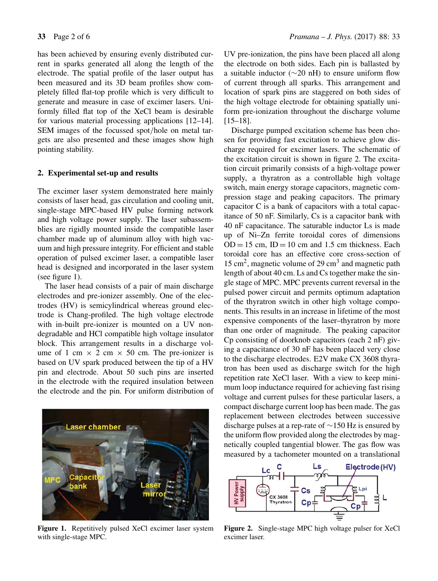has been achieved by ensuring evenly distributed current in sparks generated all along the length of the electrode. The spatial profile of the laser output has been measured and its 3D beam profiles show completely filled flat-top profile which is very difficult to generate and measure in case of excimer lasers. Uniformly filled flat top of the XeCl beam is desirable for various material processing applications [12–14]. SEM images of the focussed spot/hole on metal targets are also presented and these images show high pointing stability.

## **2. Experimental set-up and results**

The excimer laser system demonstrated here mainly consists of laser head, gas circulation and cooling unit, single-stage MPC-based HV pulse forming network and high voltage power supply. The laser subassemblies are rigidly mounted inside the compatible laser chamber made up of aluminum alloy with high vacuum and high pressure integrity. For efficient and stable operation of pulsed excimer laser, a compatible laser head is designed and incorporated in the laser system (see figure 1).

The laser head consists of a pair of main discharge electrodes and pre-ionizer assembly. One of the electrodes (HV) is semicylindrical whereas ground electrode is Chang-profiled. The high voltage electrode with in-built pre-ionizer is mounted on a UV nondegradable and HCl compatible high voltage insulator block. This arrangement results in a discharge volume of 1 cm  $\times$  2 cm  $\times$  50 cm. The pre-ionizer is based on UV spark produced between the tip of a HV pin and electrode. About 50 such pins are inserted in the electrode with the required insulation between the electrode and the pin. For uniform distribution of



Figure 1. Repetitively pulsed XeCl excimer laser system with single-stage MPC.

UV pre-ionization, the pins have been placed all along the electrode on both sides. Each pin is ballasted by a suitable inductor (∼20 nH) to ensure uniform flow of current through all sparks. This arrangement and location of spark pins are staggered on both sides of the high voltage electrode for obtaining spatially uniform pre-ionization throughout the discharge volume [15–18].

Discharge pumped excitation scheme has been chosen for providing fast excitation to achieve glow discharge required for excimer lasers. The schematic of the excitation circuit is shown in figure 2. The excitation circuit primarily consists of a high-voltage power supply, a thyratron as a controllable high voltage switch, main energy storage capacitors, magnetic compression stage and peaking capacitors. The primary capacitor C is a bank of capacitors with a total capacitance of 50 nF. Similarly, Cs is a capacitor bank with 40 nF capacitance. The saturable inductor Ls is made up of Ni–Zn ferrite toroidal cores of dimensions  $OD = 15$  cm,  $ID = 10$  cm and 1.5 cm thickness. Each toroidal core has an effective core cross-section of  $15 \text{ cm}^2$ , magnetic volume of 29 cm<sup>3</sup> and magnetic path length of about 40 cm. Ls and Cs together make the single stage of MPC. MPC prevents current reversal in the pulsed power circuit and permits optimum adaptation of the thyratron switch in other high voltage components. This results in an increase in lifetime of the most expensive components of the laser–thyratron by more than one order of magnitude. The peaking capacitor Cp consisting of doorknob capacitors (each 2 nF) giving a capacitance of 30 nF has been placed very close to the discharge electrodes. E2V make CX 3608 thyratron has been used as discharge switch for the high repetition rate XeCl laser. With a view to keep minimum loop inductance required for achieving fast rising voltage and current pulses for these particular lasers, a compact discharge current loop has been made. The gas replacement between electrodes between successive discharge pulses at a rep-rate of ∼150 Hz is ensured by the uniform flow provided along the electrodes by magnetically coupled tangential blower. The gas flow was measured by a tachometer mounted on a translational



**Figure 2.** Single-stage MPC high voltage pulser for XeCl excimer laser.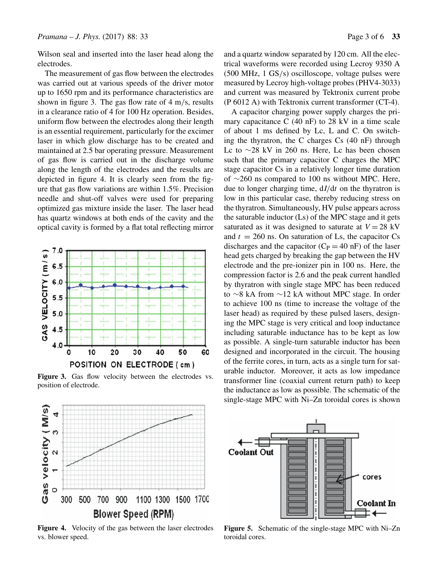Wilson seal and inserted into the laser head along the electrodes.

The measurement of gas flow between the electrodes was carried out at various speeds of the driver motor up to 1650 rpm and its performance characteristics are shown in figure 3. The gas flow rate of  $4 \text{ m/s}$ , results in a clearance ratio of 4 for 100 Hz operation. Besides, uniform flow between the electrodes along their length is an essential requirement, particularly for the excimer laser in which glow discharge has to be created and maintained at 2.5 bar operating pressure. Measurement of gas flow is carried out in the discharge volume along the length of the electrodes and the results are depicted in figure 4. It is clearly seen from the figure that gas flow variations are within 1.5%. Precision needle and shut-off valves were used for preparing optimized gas mixture inside the laser. The laser head has quartz windows at both ends of the cavity and the optical cavity is formed by a flat total reflecting mirror



Figure 3. Gas flow velocity between the electrodes vs. position of electrode.

Gas velocity (M/s)

4

 $\omega$ 

 $\mathbf{\Omega}$ 

 $\overline{ }$ 

 $\circ$ 

300

500





**Figure 4.** Velocity of the gas between the laser electrodes vs. blower speed.

**Blower Speed (RPM)** 

1100 1300 1500 1700

700 900

and a quartz window separated by 120 cm. All the electrical waveforms were recorded using Lecroy 9350 A (500 MHz, 1 GS/s) oscilloscope, voltage pulses were measured by Lecroy high-voltage probes (PHV4-3033) and current was measured by Tektronix current probe (P 6012 A) with Tektronix current transformer (CT-4).

A capacitor charging power supply charges the primary capacitance C (40 nF) to 28 kV in a time scale of about 1 ms defined by Lc, L and C. On switching the thyratron, the C charges Cs (40 nF) through Lc to ∼28 kV in 260 ns. Here, Lc has been chosen such that the primary capacitor C charges the MPC stage capacitor Cs in a relatively longer time duration of ∼260 ns compared to 100 ns without MPC. Here, due to longer charging time,  $dI/dt$  on the thyratron is low in this particular case, thereby reducing stress on the thyratron. Simultaneously, HV pulse appears across the saturable inductor (Ls) of the MPC stage and it gets saturated as it was designed to saturate at  $V = 28$  kV and  $t = 260$  ns. On saturation of Ls, the capacitor Cs discharges and the capacitor  $(C_P = 40 \text{ nF})$  of the laser head gets charged by breaking the gap between the HV electrode and the pre-ionizer pin in 100 ns. Here, the compression factor is 2.6 and the peak current handled by thyratron with single stage MPC has been reduced to ∼8 kA from ∼12 kA without MPC stage. In order to achieve 100 ns (time to increase the voltage of the laser head) as required by these pulsed lasers, designing the MPC stage is very critical and loop inductance including saturable inductance has to be kept as low as possible. A single-turn saturable inductor has been designed and incorporated in the circuit. The housing of the ferrite cores, in turn, acts as a single turn for saturable inductor. Moreover, it acts as low impedance transformer line (coaxial current return path) to keep the inductance as low as possible. The schematic of the single-stage MPC with Ni–Zn toroidal cores is shown

**Figure 5.** Schematic of the single-stage MPC with Ni–Zn toroidal cores.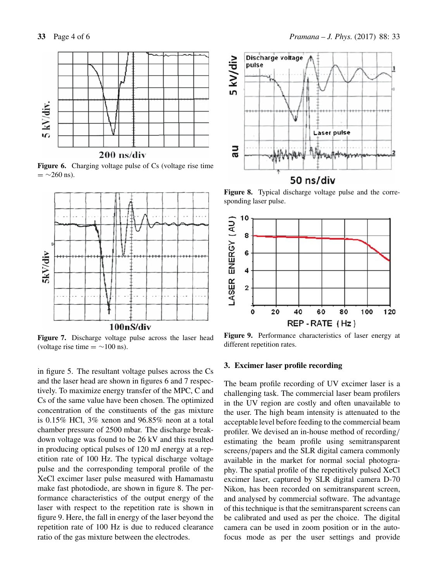

**Figure 6.** Charging voltage pulse of Cs (voltage rise time  $=$  ~260 ns).



**Figure 7.** Discharge voltage pulse across the laser head (voltage rise time  $=$  ~100 ns).

in figure 5. The resultant voltage pulses across the Cs and the laser head are shown in figures 6 and 7 respectively. To maximize energy transfer of the MPC, C and Cs of the same value have been chosen. The optimized concentration of the constituents of the gas mixture is 0.15% HCl, 3% xenon and 96.85% neon at a total chamber pressure of 2500 mbar. The discharge breakdown voltage was found to be 26 kV and this resulted in producing optical pulses of 120 mJ energy at a repetition rate of 100 Hz. The typical discharge voltage pulse and the corresponding temporal profile of the XeCl excimer laser pulse measured with Hamamastu make fast photodiode, are shown in figure 8. The performance characteristics of the output energy of the laser with respect to the repetition rate is shown in figure 9. Here, the fall in energy of the laser beyond the repetition rate of 100 Hz is due to reduced clearance ratio of the gas mixture between the electrodes.



**Figure 8.** Typical discharge voltage pulse and the corresponding laser pulse.



**Figure 9.** Performance characteristics of laser energy at different repetition rates.

## **3. Excimer laser profile recording**

The beam profile recording of UV excimer laser is a challenging task. The commercial laser beam profilers in the UV region are costly and often unavailable to the user. The high beam intensity is attenuated to the acceptable level before feeding to the commercial beam profiler. We devised an in-house method of recording/ estimating the beam profile using semitransparent screens/papers and the SLR digital camera commonly available in the market for normal social photography. The spatial profile of the repetitively pulsed XeCl excimer laser, captured by SLR digital camera D-70 Nikon, has been recorded on semitransparent screen, and analysed by commercial software. The advantage of this technique is that the semitransparent screens can be calibrated and used as per the choice. The digital camera can be used in zoom position or in the autofocus mode as per the user settings and provide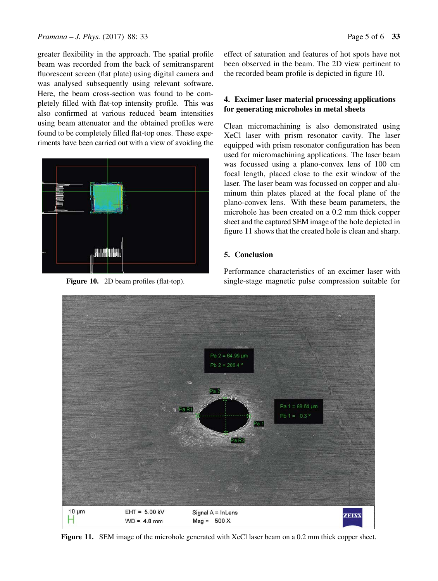greater flexibility in the approach. The spatial profile beam was recorded from the back of semitransparent fluorescent screen (flat plate) using digital camera and was analysed subsequently using relevant software. Here, the beam cross-section was found to be completely filled with flat-top intensity profile. This was also confirmed at various reduced beam intensities using beam attenuator and the obtained profiles were found to be completely filled flat-top ones. These experiments have been carried out with a view of avoiding the



**Figure 10.** 2D beam profiles (flat-top).

effect of saturation and features of hot spots have not been observed in the beam. The 2D view pertinent to the recorded beam profile is depicted in figure 10.

# **4. Excimer laser material processing applications for generating microholes in metal sheets**

Clean micromachining is also demonstrated using XeCl laser with prism resonator cavity. The laser equipped with prism resonator configuration has been used for micromachining applications. The laser beam was focussed using a plano-convex lens of 100 cm focal length, placed close to the exit window of the laser. The laser beam was focussed on copper and aluminum thin plates placed at the focal plane of the plano-convex lens. With these beam parameters, the microhole has been created on a 0.2 mm thick copper sheet and the captured SEM image of the hole depicted in figure 11 shows that the created hole is clean and sharp.

# **5. Conclusion**

Performance characteristics of an excimer laser with single-stage magnetic pulse compression suitable for



**Figure 11.** SEM image of the microhole generated with XeCl laser beam on a 0.2 mm thick copper sheet.